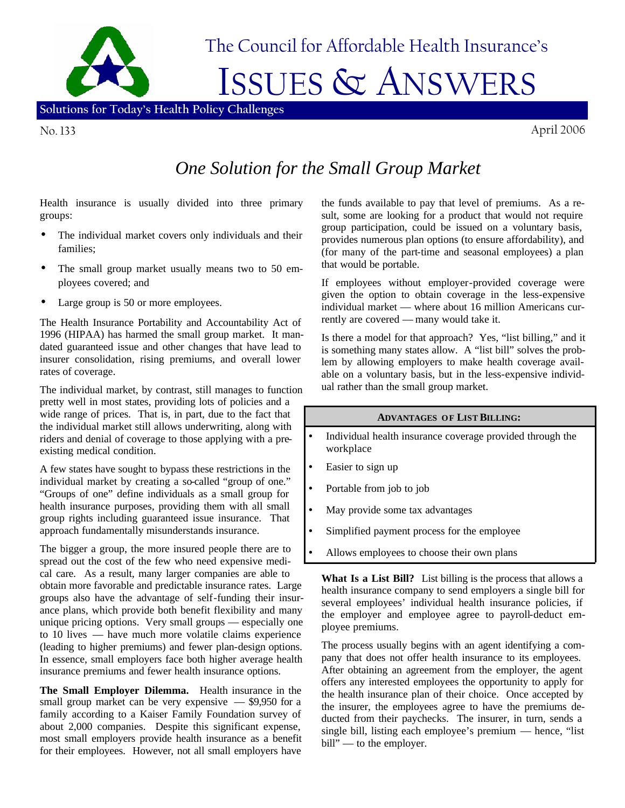

No. 133 April 2006

## *One Solution for the Small Group Market*

Health insurance is usually divided into three primary groups:

- The individual market covers only individuals and their families;
- The small group market usually means two to 50 employees covered; and
- Large group is 50 or more employees.

The Health Insurance Portability and Accountability Act of 1996 (HIPAA) has harmed the small group market. It mandated guaranteed issue and other changes that have lead to insurer consolidation, rising premiums, and overall lower rates of coverage.

The individual market, by contrast, still manages to function pretty well in most states, providing lots of policies and a wide range of prices. That is, in part, due to the fact that the individual market still allows underwriting, along with riders and denial of coverage to those applying with a preexisting medical condition.

A few states have sought to bypass these restrictions in the individual market by creating a so-called "group of one." "Groups of one" define individuals as a small group for health insurance purposes, providing them with all small group rights including guaranteed issue insurance. That approach fundamentally misunderstands insurance.

The bigger a group, the more insured people there are to spread out the cost of the few who need expensive medical care. As a result, many larger companies are able to obtain more favorable and predictable insurance rates. Large groups also have the advantage of self-funding their insurance plans, which provide both benefit flexibility and many unique pricing options. Very small groups — especially one to 10 lives — have much more volatile claims experience (leading to higher premiums) and fewer plan-design options. In essence, small employers face both higher average health insurance premiums and fewer health insurance options.

**The Small Employer Dilemma.** Health insurance in the small group market can be very expensive — \$9,950 for a family according to a Kaiser Family Foundation survey of about 2,000 companies. Despite this significant expense, most small employers provide health insurance as a benefit for their employees. However, not all small employers have

the funds available to pay that level of premiums. As a result, some are looking for a product that would not require group participation, could be issued on a voluntary basis, provides numerous plan options (to ensure affordability), and (for many of the part-time and seasonal employees) a plan that would be portable.

If employees without employer-provided coverage were given the option to obtain coverage in the less-expensive individual market — where about 16 million Americans currently are covered — many would take it.

Is there a model for that approach? Yes, "list billing," and it is something many states allow. A "list bill" solves the problem by allowing employers to make health coverage available on a voluntary basis, but in the less-expensive individual rather than the small group market.

## **ADVANTAGES OF LIST BILLING:**

- Individual health insurance coverage provided through the workplace
- Easier to sign up
- Portable from job to job
- May provide some tax advantages
- Simplified payment process for the employee
- Allows employees to choose their own plans

**What Is a List Bill?** List billing is the process that allows a health insurance company to send employers a single bill for several employees' individual health insurance policies, if the employer and employee agree to payroll-deduct employee premiums.

The process usually begins with an agent identifying a company that does not offer health insurance to its employees. After obtaining an agreement from the employer, the agent offers any interested employees the opportunity to apply for the health insurance plan of their choice. Once accepted by the insurer, the employees agree to have the premiums deducted from their paychecks. The insurer, in turn, sends a single bill, listing each employee's premium — hence, "list bill" — to the employer.